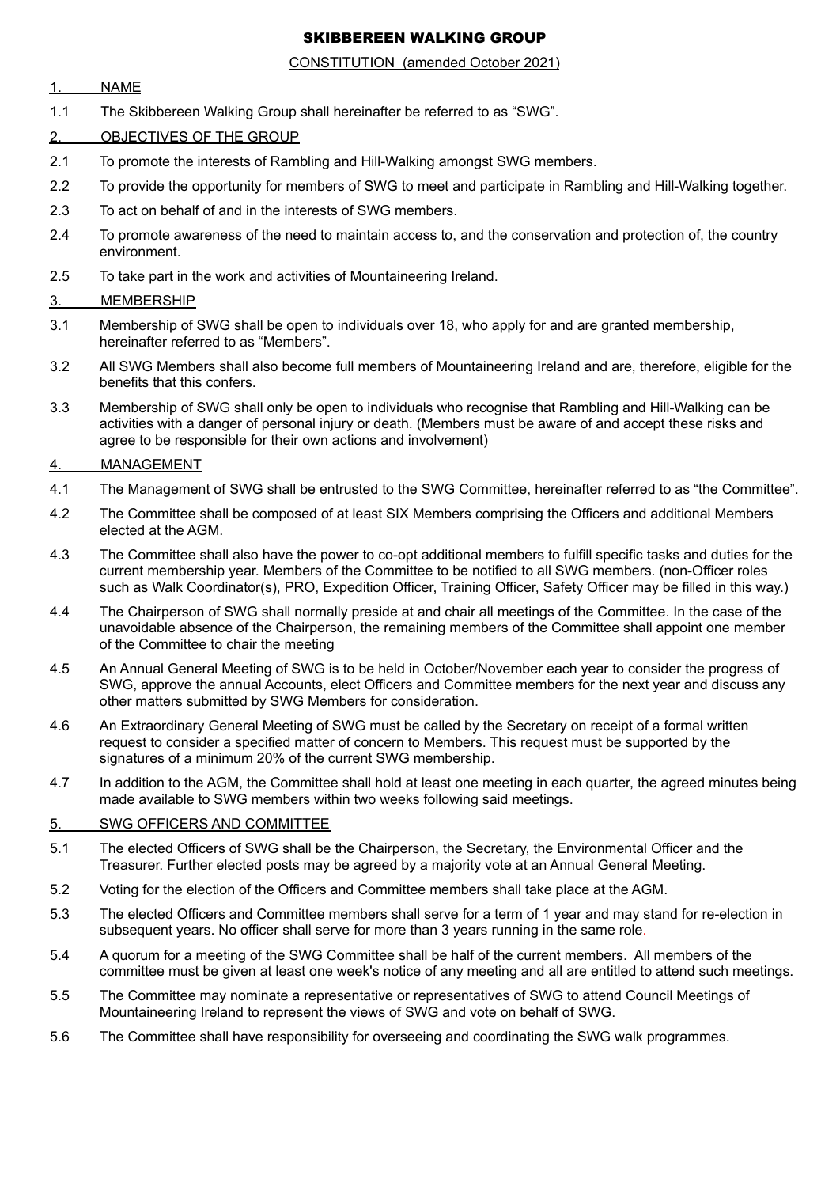# SKIBBEREEN WALKING GROUP

## CONSTITUTION (amended October 2021)

# 1. NAME

- 1.1 The Skibbereen Walking Group shall hereinafter be referred to as "SWG".
- 2. OBJECTIVES OF THE GROUP
- 2.1 To promote the interests of Rambling and Hill-Walking amongst SWG members.
- 2.2 To provide the opportunity for members of SWG to meet and participate in Rambling and Hill-Walking together.
- 2.3 To act on behalf of and in the interests of SWG members.
- 2.4 To promote awareness of the need to maintain access to, and the conservation and protection of, the country environment.
- 2.5 To take part in the work and activities of Mountaineering Ireland.

# 3. MEMBERSHIP

- 3.1 Membership of SWG shall be open to individuals over 18, who apply for and are granted membership, hereinafter referred to as "Members".
- 3.2 All SWG Members shall also become full members of Mountaineering Ireland and are, therefore, eligible for the benefits that this confers.
- 3.3 Membership of SWG shall only be open to individuals who recognise that Rambling and Hill-Walking can be activities with a danger of personal injury or death. (Members must be aware of and accept these risks and agree to be responsible for their own actions and involvement)

# 4. MANAGEMENT

- 4.1 The Management of SWG shall be entrusted to the SWG Committee, hereinafter referred to as "the Committee".
- 4.2 The Committee shall be composed of at least SIX Members comprising the Officers and additional Members elected at the AGM.
- 4.3 The Committee shall also have the power to co-opt additional members to fulfill specific tasks and duties for the current membership year. Members of the Committee to be notified to all SWG members. (non-Officer roles such as Walk Coordinator(s), PRO, Expedition Officer, Training Officer, Safety Officer may be filled in this way.)
- 4.4 The Chairperson of SWG shall normally preside at and chair all meetings of the Committee. In the case of the unavoidable absence of the Chairperson, the remaining members of the Committee shall appoint one member of the Committee to chair the meeting
- 4.5 An Annual General Meeting of SWG is to be held in October/November each year to consider the progress of SWG, approve the annual Accounts, elect Officers and Committee members for the next year and discuss any other matters submitted by SWG Members for consideration.
- 4.6 An Extraordinary General Meeting of SWG must be called by the Secretary on receipt of a formal written request to consider a specified matter of concern to Members. This request must be supported by the signatures of a minimum 20% of the current SWG membership.
- 4.7 In addition to the AGM, the Committee shall hold at least one meeting in each quarter, the agreed minutes being made available to SWG members within two weeks following said meetings.

## 5. SWG OFFICERS AND COMMITTEE

- 5.1 The elected Officers of SWG shall be the Chairperson, the Secretary, the Environmental Officer and the Treasurer. Further elected posts may be agreed by a majority vote at an Annual General Meeting.
- 5.2 Voting for the election of the Officers and Committee members shall take place at the AGM.
- 5.3 The elected Officers and Committee members shall serve for a term of 1 year and may stand for re-election in subsequent years. No officer shall serve for more than 3 years running in the same role.
- 5.4 A quorum for a meeting of the SWG Committee shall be half of the current members. All members of the committee must be given at least one week's notice of any meeting and all are entitled to attend such meetings.
- 5.5 The Committee may nominate a representative or representatives of SWG to attend Council Meetings of Mountaineering Ireland to represent the views of SWG and vote on behalf of SWG.
- 5.6 The Committee shall have responsibility for overseeing and coordinating the SWG walk programmes.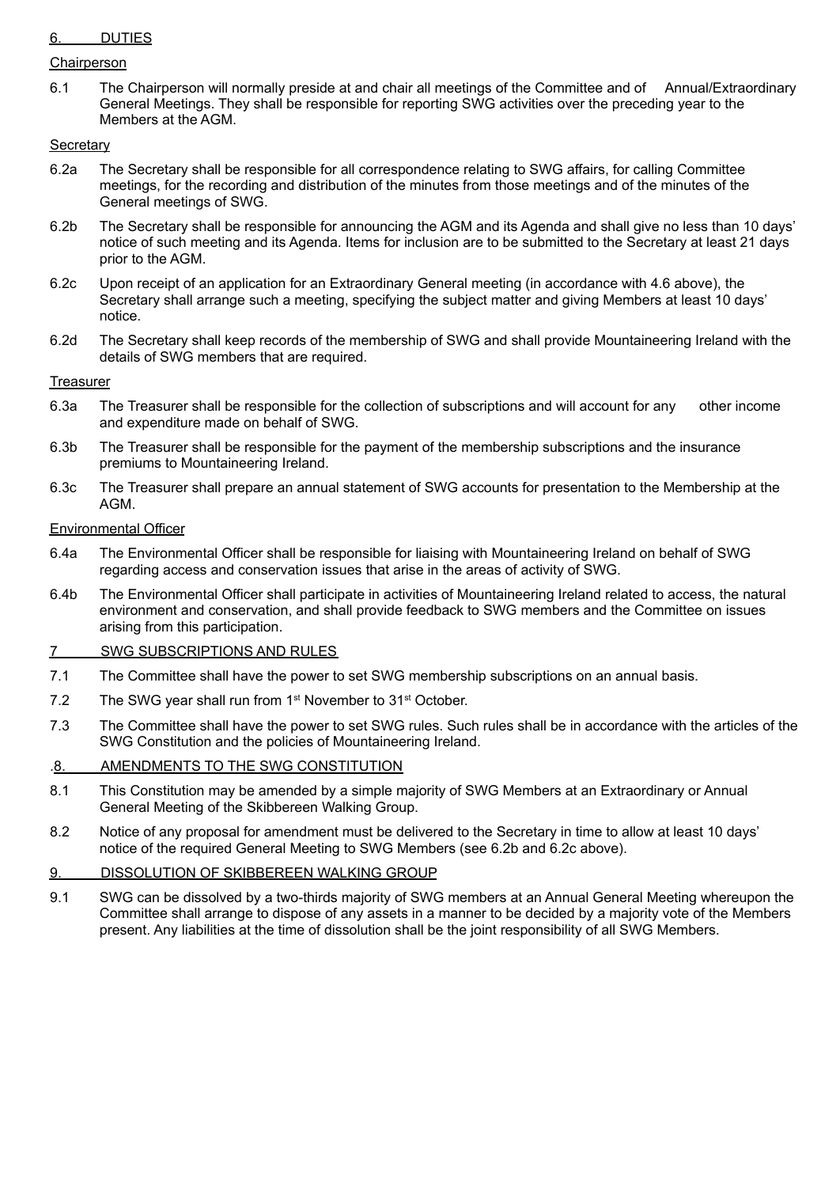# 6. DUTIES

#### Chairperson

6.1 The Chairperson will normally preside at and chair all meetings of the Committee and of Annual/Extraordinary General Meetings. They shall be responsible for reporting SWG activities over the preceding year to the Members at the AGM.

## **Secretary**

- 6.2a The Secretary shall be responsible for all correspondence relating to SWG affairs, for calling Committee meetings, for the recording and distribution of the minutes from those meetings and of the minutes of the General meetings of SWG.
- 6.2b The Secretary shall be responsible for announcing the AGM and its Agenda and shall give no less than 10 days' notice of such meeting and its Agenda. Items for inclusion are to be submitted to the Secretary at least 21 days prior to the AGM.
- 6.2c Upon receipt of an application for an Extraordinary General meeting (in accordance with 4.6 above), the Secretary shall arrange such a meeting, specifying the subject matter and giving Members at least 10 days' notice.
- 6.2d The Secretary shall keep records of the membership of SWG and shall provide Mountaineering Ireland with the details of SWG members that are required.

## **Treasurer**

- 6.3a The Treasurer shall be responsible for the collection of subscriptions and will account for any other income and expenditure made on behalf of SWG.
- 6.3b The Treasurer shall be responsible for the payment of the membership subscriptions and the insurance premiums to Mountaineering Ireland.
- 6.3c The Treasurer shall prepare an annual statement of SWG accounts for presentation to the Membership at the AGM.

#### Environmental Officer

- 6.4a The Environmental Officer shall be responsible for liaising with Mountaineering Ireland on behalf of SWG regarding access and conservation issues that arise in the areas of activity of SWG.
- 6.4b The Environmental Officer shall participate in activities of Mountaineering Ireland related to access, the natural environment and conservation, and shall provide feedback to SWG members and the Committee on issues arising from this participation.

#### 7 SWG SUBSCRIPTIONS AND RULES

- 7.1 The Committee shall have the power to set SWG membership subscriptions on an annual basis.
- 7.2 The SWG year shall run from 1<sup>st</sup> November to 31<sup>st</sup> October.
- 7.3 The Committee shall have the power to set SWG rules. Such rules shall be in accordance with the articles of the SWG Constitution and the policies of Mountaineering Ireland.

## .8. AMENDMENTS TO THE SWG CONSTITUTION

- 8.1 This Constitution may be amended by a simple majority of SWG Members at an Extraordinary or Annual General Meeting of the Skibbereen Walking Group.
- 8.2 Notice of any proposal for amendment must be delivered to the Secretary in time to allow at least 10 days' notice of the required General Meeting to SWG Members (see 6.2b and 6.2c above).

# 9. DISSOLUTION OF SKIBBEREEN WALKING GROUP

9.1 SWG can be dissolved by a two-thirds majority of SWG members at an Annual General Meeting whereupon the Committee shall arrange to dispose of any assets in a manner to be decided by a majority vote of the Members present. Any liabilities at the time of dissolution shall be the joint responsibility of all SWG Members.